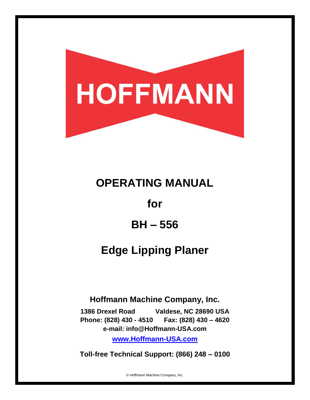

## **OPERATING MANUAL**

## **for**

## **BH – 556**

# **Edge Lipping Planer**

## **Hoffmann Machine Company, Inc.**

**1386 Drexel Road Valdese, NC 28690 USA Phone: (828) 430 - 4510 Fax: (828) 430 – 4620 e-mail: [info@Hoffmann-USA.com](mailto:info@Hoffmann-USA.com)**

**[www.Hoffmann-USA.com](http://www.hoffmann-usa.com/)**

**Toll-free Technical Support: (866) 248 – 0100**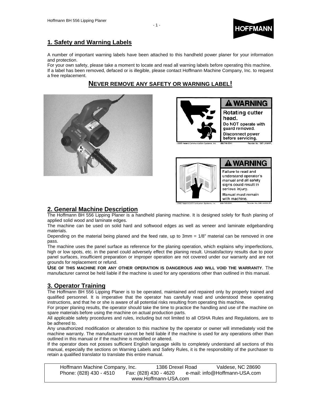

## **1. Safety and Warning Labels**

A number of important warning labels have been attached to this handheld power planer for your information and protection.

For your own safety, please take a moment to locate and read all warning labels before operating this machine. If a label has been removed, defaced or is illegible, please contact Hoffmann Machine Company, Inc. to request a free replacement.

## **NEVER REMOVE ANY SAFETY OR WARNING LABEL!**







## **2. General Machine Description**

The Hoffmann BH 556 Lipping Planer is a handheld planing machine. It is designed solely for flush planing of applied solid wood and laminate edges.

The machine can be used on solid hard and softwood edges as well as veneer and laminate edgebanding materials.

Depending on the material being planed and the feed rate, up to 3mm = 1/8" material can be removed in one pass.

The machine uses the panel surface as reference for the planing operation, which explains why imperfections, high or low spots, etc. in the panel could adversely effect the planing result. Unsatisfactory results due to poor panel surfaces, insufficient preparation or improper operation are not covered under our warranty and are not grounds for replacement or refund.

**USE OF THIS MACHINE FOR ANY OTHER OPERATION IS DANGEROUS AND WILL VOID THE WARRANTY**. The manufacturer cannot be held liable if the machine is used for any operations other than outlined in this manual.

## **3. Operator Training**

The Hoffmann BH 556 Lipping Planer is to be operated, maintained and repaired only by properly trained and qualified personnel. It is imperative that the operator has carefully read and understood these operating instructions, and that he or she is aware of all potential risks resulting from operating this machine.

For proper planing results, the operator should take the time to practice the handling and use of the machine on spare materials before using the machine on actual production parts.

All applicable safety procedures and rules, including but not limited to all OSHA Rules and Regulations, are to be adhered to.

Any unauthorized modification or alteration to this machine by the operator or owner will immediately void the machine warranty. The manufacturer cannot be held liable if the machine is used for any operations other than outlined in this manual or if the machine is modified or altered.

If the operator does not posses sufficient English language skills to completely understand all sections of this manual, especially the sections on Warning Labels and Safety Rules, it is the responsibility of the purchaser to retain a qualified translator to translate this entire manual.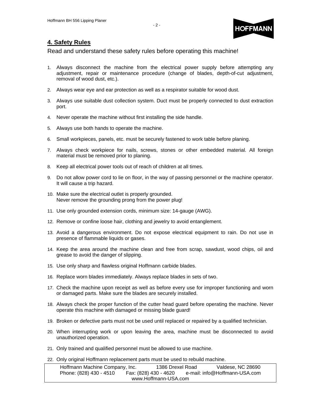

## **4. Safety Rules**

Read and understand these safety rules before operating this machine!

- 1. Always disconnect the machine from the electrical power supply before attempting any adjustment, repair or maintenance procedure (change of blades, depth-of-cut adjustment, removal of wood dust, etc.).
- 2. Always wear eye and ear protection as well as a respirator suitable for wood dust.
- 3. Always use suitable dust collection system. Duct must be properly connected to dust extraction port.
- 4. Never operate the machine without first installing the side handle.
- 5. Always use both hands to operate the machine.
- 6. Small workpieces, panels, etc. must be securely fastened to work table before planing.
- 7. Always check workpiece for nails, screws, stones or other embedded material. All foreign material must be removed prior to planing.
- 8. Keep all electrical power tools out of reach of children at all times.
- 9. Do not allow power cord to lie on floor, in the way of passing personnel or the machine operator. It will cause a trip hazard.
- 10. Make sure the electrical outlet is properly grounded. Never remove the grounding prong from the power plug!
- 11. Use only grounded extension cords, minimum size: 14-gauge (AWG).
- 12. Remove or confine loose hair, clothing and jewelry to avoid entanglement.
- 13. Avoid a dangerous environment. Do not expose electrical equipment to rain. Do not use in presence of flammable liquids or gases.
- 14. Keep the area around the machine clean and free from scrap, sawdust, wood chips, oil and grease to avoid the danger of slipping.
- 15. Use only sharp and flawless original Hoffmann carbide blades.
- 16. Replace worn blades immediately. Always replace blades in sets of two.
- 17. Check the machine upon receipt as well as before every use for improper functioning and worn or damaged parts. Make sure the blades are securely installed.
- 18. Always check the proper function of the cutter head guard before operating the machine. Never operate this machine with damaged or missing blade guard!
- 19. Broken or defective parts must not be used until replaced or repaired by a qualified technician.
- 20. When interrupting work or upon leaving the area, machine must be disconnected to avoid unauthorized operation.
- 21. Only trained and qualified personnel must be allowed to use machine.
- 22. Only original Hoffmann replacement parts must be used to rebuild machine.

| Hoffmann Machine Company, Inc. |  | 1386 Drexel Road      |  | Valdese, NC 28690             |
|--------------------------------|--|-----------------------|--|-------------------------------|
| Phone: (828) 430 - 4510        |  | Fax: (828) 430 - 4620 |  | e-mail: info@Hoffmann-USA.com |
| www.Hoffmann-USA.com           |  |                       |  |                               |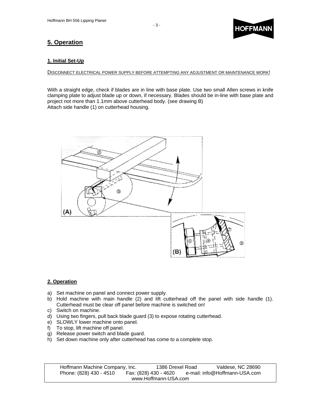#### - 3 -



## **5. Operation**

#### **1. Initial Set-Up**

#### DISCONNECT ELECTRICAL POWER SUPPLY BEFORE ATTEMPTING ANY ADJUSTMENT OR MAINTENANCE WORK!

With a straight edge, check if blades are in line with base plate. Use two small Allen screws in knife clamping plate to adjust blade up or down, if necessary. Blades should be in-line with base plate and project not more than 1.1mm above cutterhead body. (see drawing B) Attach side handle (1) on cutterhead housing.



#### **2. Operation**

- a) Set machine on panel and connect power supply.
- b) Hold machine with main handle (2) and lift cutterhead off the panel with side handle (1). Cutterhead must be clear off panel before machine is switched on!
- c) Switch on machine.
- d) Using two fingers, pull back blade guard (3) to expose rotating cutterhead.
- e) SLOWLY lower machine onto panel.
- f) To stop, lift machine off panel.
- g) Release power switch and blade guard.
- h) Set down machine only after cutterhead has come to a complete stop.

Hoffmann Machine Company, Inc. 1386 Drexel Road Valdese, NC 28690<br>Phone: (828) 430 - 4510 Fax: (828) 430 - 4620 e-mail: info@Hoffmann-USA.com Phone: (828) 430 - 4510 Fax: (828) 430 - 4620 e-mail: info@Hoffmann-USA.com www.Hoffmann-USA.com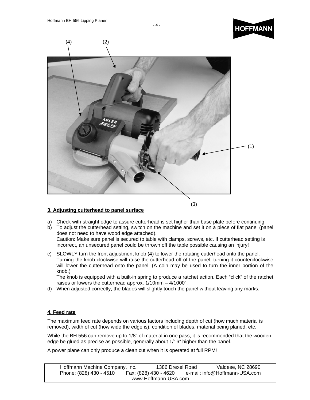



#### (3) **3. Adjusting cutterhead to panel surface**

- a) Check with straight edge to assure cutterhead is set higher than base plate before continuing.
- b) To adjust the cutterhead setting, switch on the machine and set it on a piece of flat panel (panel does not need to have wood edge attached). Caution: Make sure panel is secured to table with clamps, screws, etc. If cutterhead setting is incorrect, an unsecured panel could be thrown off the table possible causing an injury!
- c) SLOWLY turn the front adjustment knob (4) to lower the rotating cutterhead onto the panel. Turning the knob clockwise will raise the cutterhead off of the panel, turning it counterclockwise will lower the cutterhead onto the panel. (A coin may be used to turn the inner portion of the knob.)

The knob is equipped with a built-in spring to produce a ratchet action. Each "click" of the ratchet raises or lowers the cutterhead approx. 1/10mm – 4/1000".

d) When adjusted correctly, the blades will slightly touch the panel without leaving any marks.

#### **4. Feed rate**

The maximum feed rate depends on various factors including depth of cut (how much material is removed), width of cut (how wide the edge is), condition of blades, material being planed, etc.

While the BH 556 can remove up to 1/8" of material in one pass, it is recommended that the wooden edge be glued as precise as possible, generally about 1/16" higher than the panel.

A power plane can only produce a clean cut when it is operated at full RPM!

| Hoffmann Machine Company, Inc. |                       | 1386 Drexel Road |  | Valdese, NC 28690             |
|--------------------------------|-----------------------|------------------|--|-------------------------------|
| Phone: (828) 430 - 4510        | Fax: (828) 430 - 4620 |                  |  | e-mail: info@Hoffmann-USA.com |
| www.Hoffmann-USA.com           |                       |                  |  |                               |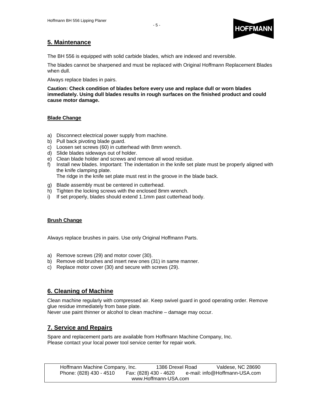

## **5. Maintenance**

The BH 556 is equipped with solid carbide blades, which are indexed and reversible.

The blades cannot be sharpened and must be replaced with Original Hoffmann Replacement Blades when dull.

Always replace blades in pairs.

**Caution: Check condition of blades before every use and replace dull or worn blades immediately. Using dull blades results in rough surfaces on the finished product and could cause motor damage.** 

#### **Blade Change**

- a) Disconnect electrical power supply from machine.
- b) Pull back pivoting blade guard.
- c) Loosen set screws (60) in cutterhead with 8mm wrench.
- d) Slide blades sideways out of holder.
- e) Clean blade holder and screws and remove all wood residue.
- f) Install new blades. Important: The indentation in the knife set plate must be properly aligned with the knife clamping plate. The ridge in the knife set plate must rest in the groove in the blade back.
- g) Blade assembly must be centered in cutterhead.
- h) Tighten the locking screws with the enclosed 8mm wrench.
- i) If set properly, blades should extend 1.1mm past cutterhead body.

#### **Brush Change**

Always replace brushes in pairs. Use only Original Hoffmann Parts.

- a) Remove screws (29) and motor cover (30).
- b) Remove old brushes and insert new ones (31) in same manner.
- c) Replace motor cover (30) and secure with screws (29).

## **6. Cleaning of Machine**

Clean machine regularly with compressed air. Keep swivel guard in good operating order. Remove glue residue immediately from base plate.

Never use paint thinner or alcohol to clean machine – damage may occur.

## **7. Service and Repairs**

Spare and replacement parts are available from Hoffmann Machine Company, Inc. Please contact your local power tool service center for repair work.

| Hoffmann Machine Company, Inc. |                       | 1386 Drexel Road |  | Valdese, NC 28690             |
|--------------------------------|-----------------------|------------------|--|-------------------------------|
| Phone: (828) 430 - 4510        | Fax: (828) 430 - 4620 |                  |  | e-mail: info@Hoffmann-USA.com |
| www.Hoffmann-USA.com           |                       |                  |  |                               |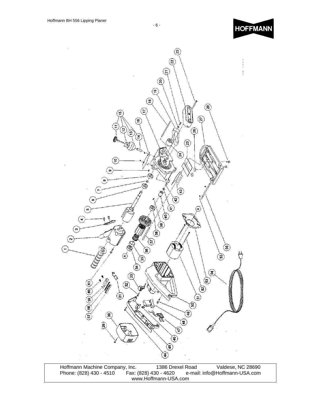

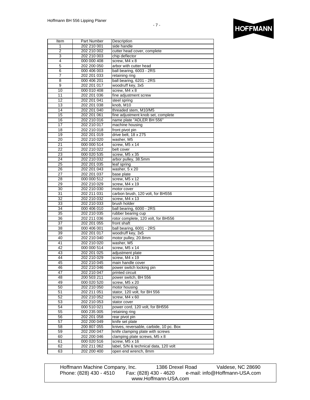

| Item           | Part Number | Description                             |
|----------------|-------------|-----------------------------------------|
| 1              | 202 210 001 | side handle                             |
| $\overline{2}$ | 202 210 002 | cutter head cover, complete             |
| 3              | 202 210 003 | chip deflector                          |
| 4              | 000 000 408 | screw, M4 x 8                           |
| 5              | 202 200 050 | arbor with cutter head                  |
| 6              | 000 406 003 | ball bearing, 6003 - 2RS                |
| 7              | 202 201 033 | retaining ring                          |
| 8              | 000 406 201 | ball bearing, 6201 - 2RS                |
| 9              | 202 201 017 | woodruff key, 3x5                       |
| 10             | 000 010 408 | screw, M4 x 8                           |
| 11             |             |                                         |
|                | 202 201 036 | fine adjustment screw                   |
| 12             | 202 201 041 | steel spring                            |
| 13             | 202 201 038 | knob, M10                               |
| 14             | 202 201 040 | threaded stem, M10/M5                   |
| 15             | 202 201 061 | fine adjustment knob set, complete      |
| 16             | 202 210 016 | name plate "ADLER BH 556"               |
| 17             | 202 210 017 | machine housing                         |
| 18             | 202 210 018 | front pivot pin                         |
| 19             | 202 201 019 | drive belt, 18 x 275                    |
| 20             | 202 210 020 | washer, M5                              |
| 21             | 000 000 514 | screw, M5 x 14                          |
| 22             | 202 210 022 | belt cover                              |
| 23             | 000 020 535 | screw, M5 x 35                          |
| 24             | 202 210 032 | arbor pulley, 38.5mm                    |
| 25             | 202 201 035 | leaf spring                             |
|                |             |                                         |
| 26             | 202 201 043 | washer, 5 x 20                          |
| 27             | 202 201 037 | base plate                              |
| 28             | 000 000 512 | screw, M5 x 12                          |
| 29             | 202 210 029 | screw, M4 x 19                          |
| 30             | 202 210 030 | motor cover                             |
| 31             | 202 211 031 | carbon brush, 120 volt, for BH556       |
| 32             | 202 210 032 | screw, M4 x 13                          |
| 33             | 202 210 033 | brush holder                            |
| 34             | 000 406 010 | ball bearing, 6000 - 2RS                |
| 35             | 202 210 035 | rubber bearing cup                      |
| 36             | 202 211 036 | rotor complete, 120 volt, for BH556     |
| 37             | 202 201 055 | front shaft                             |
| 38             | 000 406 001 | ball bearing, 6001 - 2RS                |
| 39             | 202 201 017 | woodruff key, 3x5                       |
| 40             | 202 210 040 | motor pulley, 20.8mm                    |
| 41             | 202 210 020 | washer, M5                              |
| 42             | 000 000 514 | screw, M5 x 14                          |
| 43             | 202 201 025 | adjustment plate                        |
| 44             | 202 210 029 | screw, M4 x 19                          |
| 45             | 202 210 045 | main handle cover                       |
|                | 202 210 046 |                                         |
| 46             |             | power switch locking pin                |
| 47             | 202 210 047 | printed circuit                         |
| 48             | 200 503 211 | power switch, BH 556                    |
| 49             | 000 020 520 | screw, M5 x 20                          |
| 50             | 202 210 050 | motor housing                           |
| 51             | 202 211 051 | stator, 120 volt, for BH 556            |
| 52             | 202 210 052 | screw, M4 x 60                          |
| 53             | 202 210 053 | stator cover                            |
| 54             | 000 510 021 | power cord, 120 volt, for BH556         |
| 55             | 000 235 005 | retaining ring                          |
| 56             | 202 201 058 | rear pivot pin                          |
| 57             | 202 200 049 | knife set plate                         |
| 58             | 200 807 055 | knives, reversable, carbide, 10 pc. Box |
| 59             | 202 200 047 | knife clamping plate with screws        |
| 60             | 202 200 046 | clamping plate screws, M5 x 8           |
|                | 000 020 516 | screw, M5 x 16                          |
| 61             |             |                                         |
| 62             | 202 211 062 | label, S/N & technical data, 120 volt   |
| 63             | 202 200 400 | open end wrench, 8mm                    |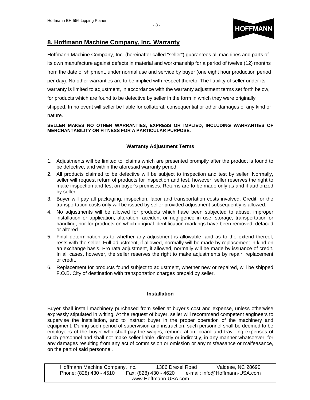

### **8. Hoffmann Machine Company, Inc. Warranty**

Hoffmann Machine Company, Inc. (hereinafter called "seller") guarantees all machines and parts of its own manufacture against defects in material and workmanship for a period of twelve (12) months from the date of shipment, under normal use and service by buyer (one eight hour production period per day). No other warranties are to be implied with respect thereto. The liability of seller under its warranty is limited to adjustment, in accordance with the warranty adjustment terms set forth below, for products which are found to be defective by seller in the form in which they were originally shipped. In no event will seller be liable for collateral, consequential or other damages of any kind or nature.

#### **SELLER MAKES NO OTHER WARRANTIES, EXPRESS OR IMPLIED, INCLUDING WARRANTIES OF MERCHANTABILITY OR FITNESS FOR A PARTICULAR PURPOSE.**

#### **Warranty Adjustment Terms**

- 1. Adjustments will be limited to claims which are presented promptly after the product is found to be defective, and within the aforesaid warranty period.
- 2. All products claimed to be defective will be subject to inspection and test by seller. Normally, seller will request return of products for inspection and test, however, seller reserves the right to make inspection and test on buyer's premises. Returns are to be made only as and if authorized by seller.
- 3. Buyer will pay all packaging, inspection, labor and transportation costs involved. Credit for the transportation costs only will be issued by seller provided adjustment subsequently is allowed.
- 4. No adjustments will be allowed for products which have been subjected to abuse, improper installation or application, alteration, accident or negligence in use, storage, transportation or handling; nor for products on which original identification markings have been removed, defaced or altered.
- 5. Final determination as to whether any adjustment is allowable, and as to the extend thereof, rests with the seller. Full adjustment, if allowed, normally will be made by replacement in kind on an exchange basis. Pro rata adjustment, if allowed, normally will be made by issuance of credit. In all cases, however, the seller reserves the right to make adjustments by repair, replacement or credit.
- 6. Replacement for products found subject to adjustment, whether new or repaired, will be shipped F.O.B. City of destination with transportation charges prepaid by seller.

#### **Installation**

Buyer shall install machinery purchased from seller at buyer's cost and expense, unless otherwise expressly stipulated in writing. At the request of buyer, seller will recommend competent engineers to supervise the installation, and to instruct buyer in the proper operation of the machinery and equipment. During such period of supervision and instruction, such personnel shall be deemed to be employees of the buyer who shall pay the wages, remuneration, board and traveling expenses of such personnel and shall not make seller liable, directly or indirectly, in any manner whatsoever, for any damages resulting from any act of commission or omission or any misfeasance or malfeasance, on the part of said personnel.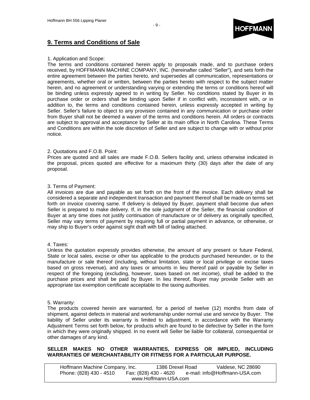

## **9. Terms and Conditions of Sale**

#### 1. Application and Scope:

The terms and conditions contained herein apply to proposals made, and to purchase orders received, by HOFFMANN MACHINE COMPANY, INC. (hereinafter called "Seller"), and sets forth the entire agreement between the parties hereto, and supersedes all communication, representations or agreements, whether oral or written, between the parties hereto with respect to the subject matter herein, and no agreement or understanding varying or extending the terms or conditions hereof will be binding unless expressly agreed to in writing by Seller. No conditions stated by Buyer in its purchase order or orders shall be binding upon Seller if in conflict with, inconsistent with, or in addition to, the terms and conditions contained herein, unless expressly accepted in writing by Seller. Seller's failure to object to any provision contained in any communication or purchase order from Buyer shall not be deemed a waiver of the terms and conditions herein. All orders or contracts are subject to approval and acceptance by Seller at its main office in North Carolina. These Terms and Conditions are within the sole discretion of Seller and are subject to change with or without prior notice.

#### 2. Quotations and F.O.B. Point:

Prices are quoted and all sales are made F.O.B. Sellers facility and, unless otherwise indicated in the proposal, prices quoted are effective for a maximum thirty (30) days after the date of any proposal.

#### 3. Terms of Payment:

All invoices are due and payable as set forth on the front of the invoice. Each delivery shall be considered a separate and independent transaction and payment thereof shall be made on terms set forth on invoice covering same. If delivery is delayed by Buyer, payment shall become due when Seller is prepared to make delivery. If, in the sole judgment of the Seller, the financial condition of Buyer at any time does not justify continuation of manufacture or of delivery as originally specified, Seller may vary terms of payment by requiring full or partial payment in advance, or otherwise, or may ship to Buyer's order against sight draft with bill of lading attached.

#### 4. Taxes:

Unless the quotation expressly provides otherwise, the amount of any present or future Federal, State or local sales, excise or other tax applicable to the products purchased hereunder, or to the manufacture or sale thereof (including, without limitation, state or local privilege or excise taxes based on gross revenue), and any taxes or amounts in lieu thereof paid or payable by Seller in respect of the foregoing (excluding, however, taxes based on net income), shall be added to the purchase prices and shall be paid by Buyer. In lieu thereof, Buyer may provide Seller with an appropriate tax exemption certificate acceptable to the taxing authorities.

#### 5. Warranty:

The products covered herein are warranted, for a period of twelve (12) months from date of shipment, against defects in material and workmanship under normal use and service by Buyer. The liability of Seller under its warranty is limited to adjustment, in accordance with the Warranty Adjustment Terms set forth below, for products which are found to be defective by Seller in the form in which they were originally shipped. In no event will Seller be liable for collateral, consequential or other damages of any kind.

#### **SELLER MAKES NO OTHER WARRANTIES, EXPRESS OR IMPLIED, INCLUDING WARRANTIES OF MERCHANTABILITY OR FITNESS FOR A PARTICULAR PURPOSE.**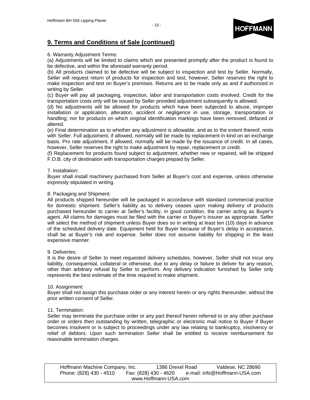

## **9. Terms and Conditions of Sale (continued)**

6. Warranty Adjustment Terms:

(a) Adjustments will be limited to claims which are presented promptly after the product is found to be defective, and within the aforesaid warranty period.

(b) All products claimed to be defective will be subject to inspection and test by Seller. Normally, Seller will request return of products for inspection and test, however, Seller reserves the right to make inspection and test on Buyer's premises. Returns are to be made only as and if authorized in writing by Seller.

(c) Buyer will pay all packaging, inspection, labor and transportation costs involved. Credit for the transportation costs only will be issued by Seller provided adjustment subsequently is allowed.

(d) No adjustments will be allowed for products which have been subjected to abuse, improper installation or application, alteration, accident or negligence in use, storage, transportation or handling; nor for products on which original identification markings have been removed, defaced or altered.

(e) Final determination as to whether any adjustment is allowable, and as to the extent thereof, rests with Seller. Full adjustment, if allowed, normally will be made by replacement in kind on an exchange basis. Pro rate adjustment, if allowed, normally will be made by the issuance of credit. In all cases, however, Seller reserves the right to make adjustment by repair, replacement or credit.

(f) Replacement for products found subject to adjustment, whether new or repaired, will be shipped F.O.B. city of destination with transportation charges prepaid by Seller.

#### 7. Installation:

Buyer shall install machinery purchased from Seller at Buyer's cost and expense, unless otherwise expressly stipulated in writing.

#### 8. Packaging and Shipment:

All products shipped hereunder will be packaged in accordance with standard commercial practice for domestic shipment. Seller's liability as to delivery ceases upon making delivery of products purchased hereunder to carrier at Seller's facility, in good condition, the carrier acting as Buyer's agent. All claims for damages must be filed with the carrier or Buyer's insurer as appropriate. Seller will select the method of shipment unless Buyer does so in writing at least ten (10) days in advance of the scheduled delivery date. Equipment held for Buyer because of Buyer's delay in acceptance, shall be at Buyer's risk and expense. Seller does not assume liability for shipping in the least expensive manner.

#### 9. Deliveries:

It is the desire of Seller to meet requested delivery schedules, however, Seller shall not incur any liability, consequential, collateral or otherwise, due to any delay or failure to deliver for any reason, other than arbitrary refusal by Seller to perform. Any delivery indication furnished by Seller only represents the best estimate of the time required to make shipment.

#### 10. Assignment:

Buyer shall not assign this purchase order or any interest herein or any rights thereunder, without the prior written consent of Seller.

#### 11. Termination:

Seller may terminate the purchase order or any part thereof herein referred to or any other purchase order or orders then outstanding by written, telegraphic or electronic mail notice to Buyer if Buyer becomes insolvent or is subject to proceedings under any law relating to bankruptcy, insolvency or relief of debtors. Upon such termination Seller shall be entitled to receive reimbursement for reasonable termination charges.